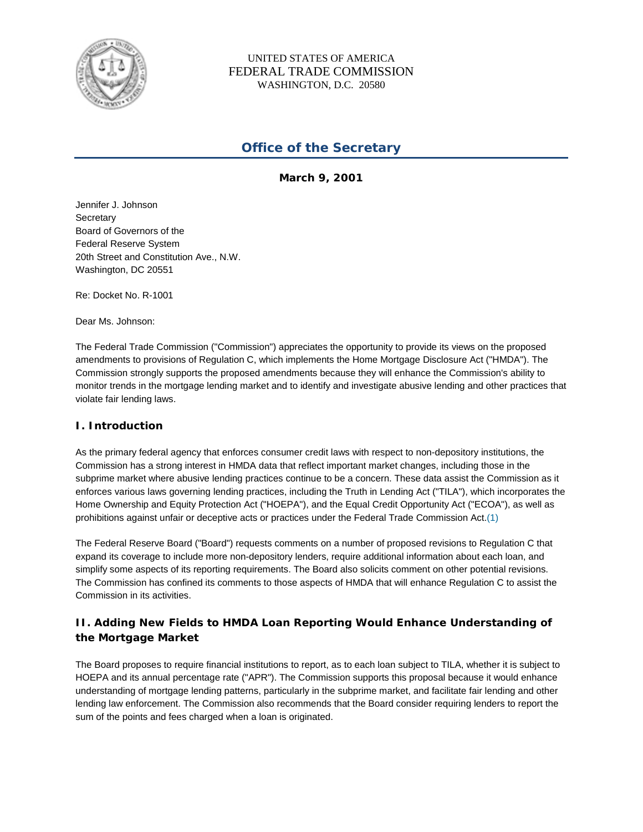

### UNITED STATES OF AMERICA FEDERAL TRADE COMMISSION WASHINGTON, D.C. 20580

# **Office of the Secretary**

**March 9, 2001**

Jennifer J. Johnson **Secretary** Board of Governors of the Federal Reserve System 20th Street and Constitution Ave., N.W. Washington, DC 20551

Re: Docket No. R-1001

Dear Ms. Johnson:

The Federal Trade Commission ("Commission") appreciates the opportunity to provide its views on the proposed amendments to provisions of Regulation C, which implements the Home Mortgage Disclosure Act ("HMDA"). The Commission strongly supports the proposed amendments because they will enhance the Commission's ability to monitor trends in the mortgage lending market and to identify and investigate abusive lending and other practices that violate fair lending laws.

### **I. Introduction**

As the primary federal agency that enforces consumer credit laws with respect to non-depository institutions, the Commission has a strong interest in HMDA data that reflect important market changes, including those in the subprime market where abusive lending practices continue to be a concern. These data assist the Commission as it enforces various laws governing lending practices, including the Truth in Lending Act ("TILA"), which incorporates the Home Ownership and Equity Protection Act ("HOEPA"), and the Equal Credit Opportunity Act ("ECOA"), as well as prohibitions against unfair or deceptive acts or practices under the Federal Trade Commission Act.(1)

The Federal Reserve Board ("Board") requests comments on a number of proposed revisions to Regulation C that expand its coverage to include more non-depository lenders, require additional information about each loan, and simplify some aspects of its reporting requirements. The Board also solicits comment on other potential revisions. The Commission has confined its comments to those aspects of HMDA that will enhance Regulation C to assist the Commission in its activities.

# **II. Adding New Fields to HMDA Loan Reporting Would Enhance Understanding of the Mortgage Market**

The Board proposes to require financial institutions to report, as to each loan subject to TILA, whether it is subject to HOEPA and its annual percentage rate ("APR"). The Commission supports this proposal because it would enhance understanding of mortgage lending patterns, particularly in the subprime market, and facilitate fair lending and other lending law enforcement. The Commission also recommends that the Board consider requiring lenders to report the sum of the points and fees charged when a loan is originated.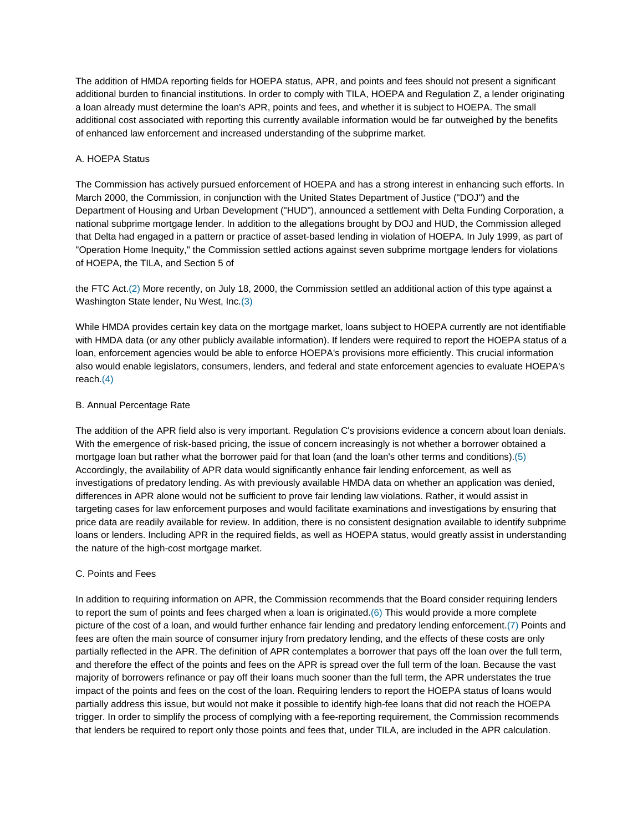The addition of HMDA reporting fields for HOEPA status, APR, and points and fees should not present a significant additional burden to financial institutions. In order to comply with TILA, HOEPA and Regulation Z, a lender originating a loan already must determine the loan's APR, points and fees, and whether it is subject to HOEPA. The small additional cost associated with reporting this currently available information would be far outweighed by the benefits of enhanced law enforcement and increased understanding of the subprime market.

### A. HOEPA Status

The Commission has actively pursued enforcement of HOEPA and has a strong interest in enhancing such efforts. In March 2000, the Commission, in conjunction with the United States Department of Justice ("DOJ") and the Department of Housing and Urban Development ("HUD"), announced a settlement with Delta Funding Corporation, a national subprime mortgage lender. In addition to the allegations brought by DOJ and HUD, the Commission alleged that Delta had engaged in a pattern or practice of asset-based lending in violation of HOEPA. In July 1999, as part of "Operation Home Inequity," the Commission settled actions against seven subprime mortgage lenders for violations of HOEPA, the TILA, and Section 5 of

the FTC Act.(2) More recently, on July 18, 2000, the Commission settled an additional action of this type against a Washington State lender, Nu West, Inc.(3)

While HMDA provides certain key data on the mortgage market, loans subject to HOEPA currently are not identifiable with HMDA data (or any other publicly available information). If lenders were required to report the HOEPA status of a loan, enforcement agencies would be able to enforce HOEPA's provisions more efficiently. This crucial information also would enable legislators, consumers, lenders, and federal and state enforcement agencies to evaluate HOEPA's reach.(4)

### B. Annual Percentage Rate

The addition of the APR field also is very important. Regulation C's provisions evidence a concern about loan denials. With the emergence of risk-based pricing, the issue of concern increasingly is not whether a borrower obtained a mortgage loan but rather what the borrower paid for that loan (and the loan's other terms and conditions).(5) Accordingly, the availability of APR data would significantly enhance fair lending enforcement, as well as investigations of predatory lending. As with previously available HMDA data on whether an application was denied, differences in APR alone would not be sufficient to prove fair lending law violations. Rather, it would assist in targeting cases for law enforcement purposes and would facilitate examinations and investigations by ensuring that price data are readily available for review. In addition, there is no consistent designation available to identify subprime loans or lenders. Including APR in the required fields, as well as HOEPA status, would greatly assist in understanding the nature of the high-cost mortgage market.

#### C. Points and Fees

In addition to requiring information on APR, the Commission recommends that the Board consider requiring lenders to report the sum of points and fees charged when a loan is originated. $(6)$  This would provide a more complete picture of the cost of a loan, and would further enhance fair lending and predatory lending enforcement.(7) Points and fees are often the main source of consumer injury from predatory lending, and the effects of these costs are only partially reflected in the APR. The definition of APR contemplates a borrower that pays off the loan over the full term, and therefore the effect of the points and fees on the APR is spread over the full term of the loan. Because the vast majority of borrowers refinance or pay off their loans much sooner than the full term, the APR understates the true impact of the points and fees on the cost of the loan. Requiring lenders to report the HOEPA status of loans would partially address this issue, but would not make it possible to identify high-fee loans that did not reach the HOEPA trigger. In order to simplify the process of complying with a fee-reporting requirement, the Commission recommends that lenders be required to report only those points and fees that, under TILA, are included in the APR calculation.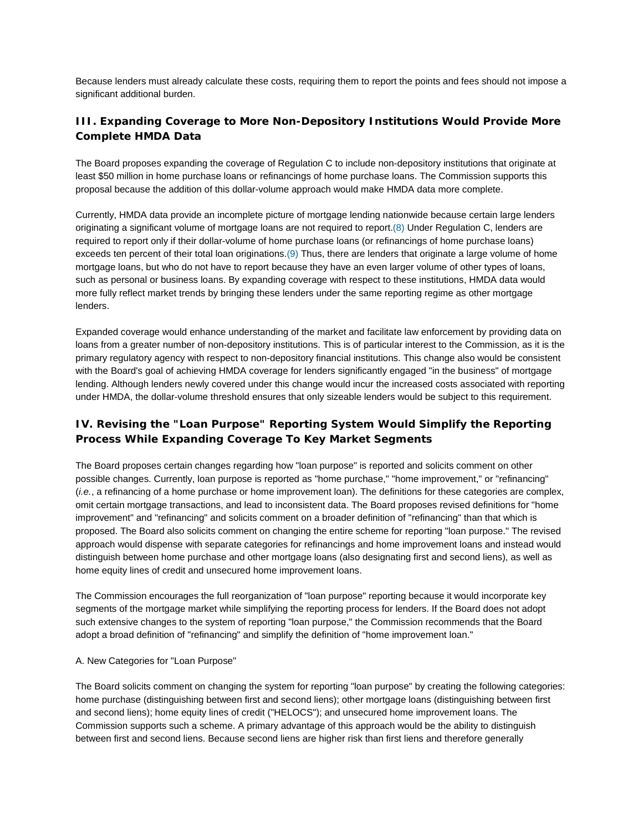Because lenders must already calculate these costs, requiring them to report the points and fees should not impose a significant additional burden.

# **III. Expanding Coverage to More Non-Depository Institutions Would Provide More Complete HMDA Data**

The Board proposes expanding the coverage of Regulation C to include non-depository institutions that originate at least \$50 million in home purchase loans or refinancings of home purchase loans. The Commission supports this proposal because the addition of this dollar-volume approach would make HMDA data more complete.

Currently, HMDA data provide an incomplete picture of mortgage lending nationwide because certain large lenders originating a significant volume of mortgage loans are not required to report.(8) Under Regulation C, lenders are required to report only if their dollar-volume of home purchase loans (or refinancings of home purchase loans) exceeds ten percent of their total loan originations.(9) Thus, there are lenders that originate a large volume of home mortgage loans, but who do not have to report because they have an even larger volume of other types of loans, such as personal or business loans. By expanding coverage with respect to these institutions, HMDA data would more fully reflect market trends by bringing these lenders under the same reporting regime as other mortgage lenders.

Expanded coverage would enhance understanding of the market and facilitate law enforcement by providing data on loans from a greater number of non-depository institutions. This is of particular interest to the Commission, as it is the primary regulatory agency with respect to non-depository financial institutions. This change also would be consistent with the Board's goal of achieving HMDA coverage for lenders significantly engaged "in the business" of mortgage lending. Although lenders newly covered under this change would incur the increased costs associated with reporting under HMDA, the dollar-volume threshold ensures that only sizeable lenders would be subject to this requirement.

# **IV. Revising the "Loan Purpose" Reporting System Would Simplify the Reporting Process While Expanding Coverage To Key Market Segments**

The Board proposes certain changes regarding how "loan purpose" is reported and solicits comment on other possible changes. Currently, loan purpose is reported as "home purchase," "home improvement," or "refinancing" (*i.e.*, a refinancing of a home purchase or home improvement loan). The definitions for these categories are complex, omit certain mortgage transactions, and lead to inconsistent data. The Board proposes revised definitions for "home improvement" and "refinancing" and solicits comment on a broader definition of "refinancing" than that which is proposed. The Board also solicits comment on changing the entire scheme for reporting "loan purpose." The revised approach would dispense with separate categories for refinancings and home improvement loans and instead would distinguish between home purchase and other mortgage loans (also designating first and second liens), as well as home equity lines of credit and unsecured home improvement loans.

The Commission encourages the full reorganization of "loan purpose" reporting because it would incorporate key segments of the mortgage market while simplifying the reporting process for lenders. If the Board does not adopt such extensive changes to the system of reporting "loan purpose," the Commission recommends that the Board adopt a broad definition of "refinancing" and simplify the definition of "home improvement loan."

#### A. New Categories for "Loan Purpose"

The Board solicits comment on changing the system for reporting "loan purpose" by creating the following categories: home purchase (distinguishing between first and second liens); other mortgage loans (distinguishing between first and second liens); home equity lines of credit ("HELOCS"); and unsecured home improvement loans. The Commission supports such a scheme. A primary advantage of this approach would be the ability to distinguish between first and second liens. Because second liens are higher risk than first liens and therefore generally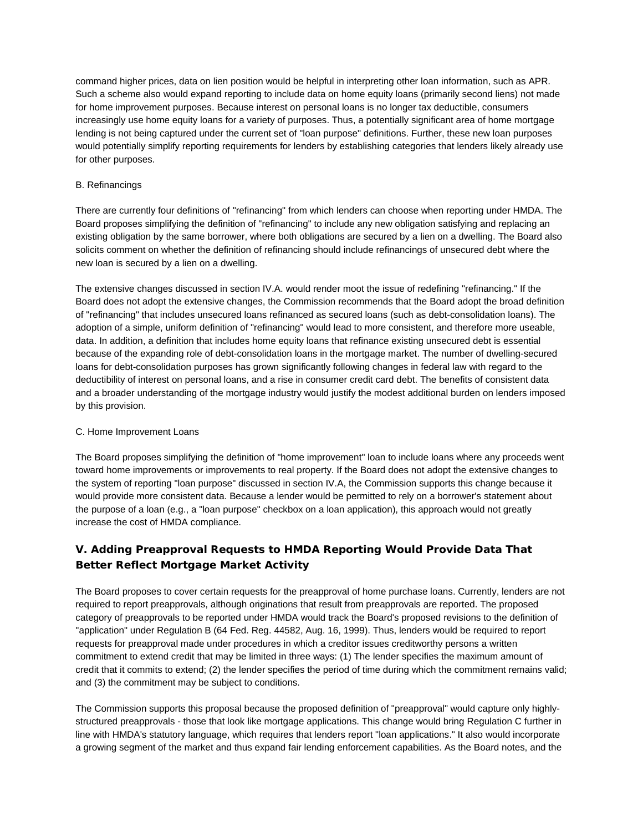command higher prices, data on lien position would be helpful in interpreting other loan information, such as APR. Such a scheme also would expand reporting to include data on home equity loans (primarily second liens) not made for home improvement purposes. Because interest on personal loans is no longer tax deductible, consumers increasingly use home equity loans for a variety of purposes. Thus, a potentially significant area of home mortgage lending is not being captured under the current set of "loan purpose" definitions. Further, these new loan purposes would potentially simplify reporting requirements for lenders by establishing categories that lenders likely already use for other purposes.

### B. Refinancings

There are currently four definitions of "refinancing" from which lenders can choose when reporting under HMDA. The Board proposes simplifying the definition of "refinancing" to include any new obligation satisfying and replacing an existing obligation by the same borrower, where both obligations are secured by a lien on a dwelling. The Board also solicits comment on whether the definition of refinancing should include refinancings of unsecured debt where the new loan is secured by a lien on a dwelling.

The extensive changes discussed in section IV.A. would render moot the issue of redefining "refinancing." If the Board does not adopt the extensive changes, the Commission recommends that the Board adopt the broad definition of "refinancing" that includes unsecured loans refinanced as secured loans (such as debt-consolidation loans). The adoption of a simple, uniform definition of "refinancing" would lead to more consistent, and therefore more useable, data. In addition, a definition that includes home equity loans that refinance existing unsecured debt is essential because of the expanding role of debt-consolidation loans in the mortgage market. The number of dwelling-secured loans for debt-consolidation purposes has grown significantly following changes in federal law with regard to the deductibility of interest on personal loans, and a rise in consumer credit card debt. The benefits of consistent data and a broader understanding of the mortgage industry would justify the modest additional burden on lenders imposed by this provision.

#### C. Home Improvement Loans

The Board proposes simplifying the definition of "home improvement" loan to include loans where any proceeds went toward home improvements or improvements to real property. If the Board does not adopt the extensive changes to the system of reporting "loan purpose" discussed in section IV.A, the Commission supports this change because it would provide more consistent data. Because a lender would be permitted to rely on a borrower's statement about the purpose of a loan (e.g., a "loan purpose" checkbox on a loan application), this approach would not greatly increase the cost of HMDA compliance.

# **V. Adding Preapproval Requests to HMDA Reporting Would Provide Data That Better Reflect Mortgage Market Activity**

The Board proposes to cover certain requests for the preapproval of home purchase loans. Currently, lenders are not required to report preapprovals, although originations that result from preapprovals are reported. The proposed category of preapprovals to be reported under HMDA would track the Board's proposed revisions to the definition of "application" under Regulation B (64 Fed. Reg. 44582, Aug. 16, 1999). Thus, lenders would be required to report requests for preapproval made under procedures in which a creditor issues creditworthy persons a written commitment to extend credit that may be limited in three ways: (1) The lender specifies the maximum amount of credit that it commits to extend; (2) the lender specifies the period of time during which the commitment remains valid; and (3) the commitment may be subject to conditions.

The Commission supports this proposal because the proposed definition of "preapproval" would capture only highlystructured preapprovals - those that look like mortgage applications. This change would bring Regulation C further in line with HMDA's statutory language, which requires that lenders report "loan applications." It also would incorporate a growing segment of the market and thus expand fair lending enforcement capabilities. As the Board notes, and the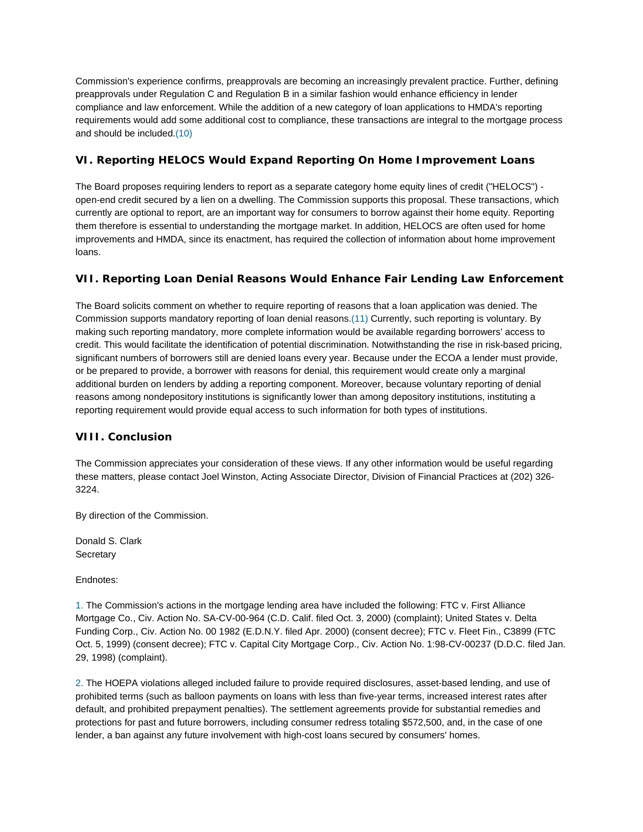Commission's experience confirms, preapprovals are becoming an increasingly prevalent practice. Further, defining preapprovals under Regulation C and Regulation B in a similar fashion would enhance efficiency in lender compliance and law enforcement. While the addition of a new category of loan applications to HMDA's reporting requirements would add some additional cost to compliance, these transactions are integral to the mortgage process and should be included.(10)

### **VI. Reporting HELOCS Would Expand Reporting On Home Improvement Loans**

The Board proposes requiring lenders to report as a separate category home equity lines of credit ("HELOCS") open-end credit secured by a lien on a dwelling. The Commission supports this proposal. These transactions, which currently are optional to report, are an important way for consumers to borrow against their home equity. Reporting them therefore is essential to understanding the mortgage market. In addition, HELOCS are often used for home improvements and HMDA, since its enactment, has required the collection of information about home improvement loans.

## **VII. Reporting Loan Denial Reasons Would Enhance Fair Lending Law Enforcement**

The Board solicits comment on whether to require reporting of reasons that a loan application was denied. The Commission supports mandatory reporting of loan denial reasons.(11) Currently, such reporting is voluntary. By making such reporting mandatory, more complete information would be available regarding borrowers' access to credit. This would facilitate the identification of potential discrimination. Notwithstanding the rise in risk-based pricing, significant numbers of borrowers still are denied loans every year. Because under the ECOA a lender must provide, or be prepared to provide, a borrower with reasons for denial, this requirement would create only a marginal additional burden on lenders by adding a reporting component. Moreover, because voluntary reporting of denial reasons among nondepository institutions is significantly lower than among depository institutions, instituting a reporting requirement would provide equal access to such information for both types of institutions.

### **VIII. Conclusion**

The Commission appreciates your consideration of these views. If any other information would be useful regarding these matters, please contact Joel Winston, Acting Associate Director, Division of Financial Practices at (202) 326- 3224.

By direction of the Commission.

Donald S. Clark **Secretary** 

Endnotes:

1. The Commission's actions in the mortgage lending area have included the following: FTC v. First Alliance Mortgage Co., Civ. Action No. SA-CV-00-964 (C.D. Calif. filed Oct. 3, 2000) (complaint); United States v. Delta Funding Corp., Civ. Action No. 00 1982 (E.D.N.Y. filed Apr. 2000) (consent decree); FTC v. Fleet Fin., C3899 (FTC Oct. 5, 1999) (consent decree); FTC v. Capital City Mortgage Corp., Civ. Action No. 1:98-CV-00237 (D.D.C. filed Jan. 29, 1998) (complaint).

2. The HOEPA violations alleged included failure to provide required disclosures, asset-based lending, and use of prohibited terms (such as balloon payments on loans with less than five-year terms, increased interest rates after default, and prohibited prepayment penalties). The settlement agreements provide for substantial remedies and protections for past and future borrowers, including consumer redress totaling \$572,500, and, in the case of one lender, a ban against any future involvement with high-cost loans secured by consumers' homes.